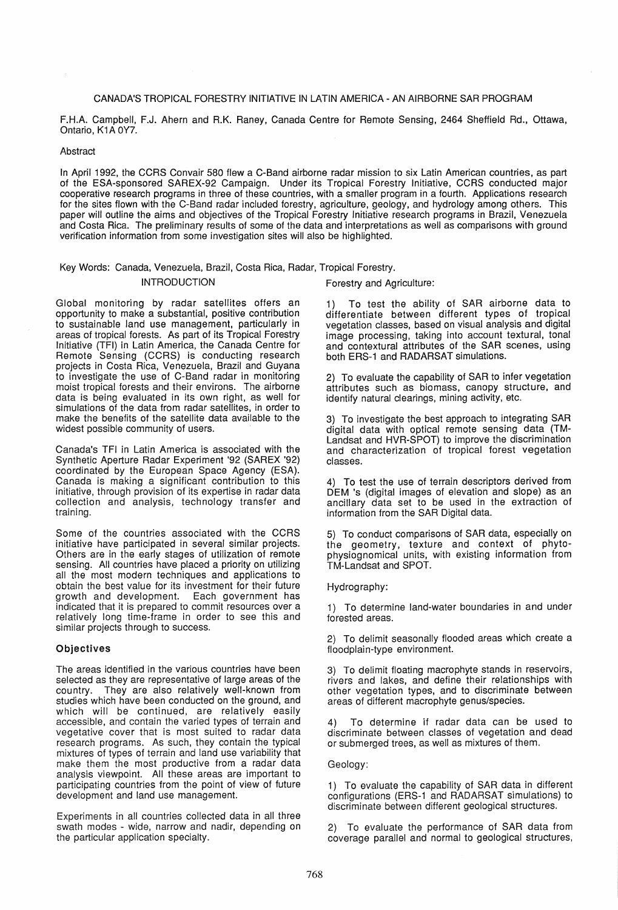### CANADA'S TROPICAL FORESTRY INITIATIVE IN LATIN AMERICA - AN AIRBORNE SAR PROGRAM

F.H.A. Campbell, F.J. Ahern and R.K. Raney, Canada Centre for Remote Sensing, 2464 Sheffield Rd., Ottawa, Ontario, K1A 0Y7.

### Abstract

In April 1992, the CCRS Convair 580 flew a C-Band airborne radar mission to six Latin American countries, as part of the ESA-sponsored SAREX-92 Campaign. Under its Tropical Forestry Initiative, CCRS conducted major cooperative research programs in three of these countries, with a smaller program in a fourth. Applications research for the sites flown with the C-Band radar included forestry, agriculture, geology, and hydrology among others. This paper will outline the aims and objectives of the Tropical Forestry Initiative research programs in Brazil, Venezuela and Costa Rica. The preliminary results of some of the data and interpretations as well as comparisons with ground verification information from some investigation sites will also be highlighted.

# Key Words: Canada, Venezuela, Brazil, Costa Rica, Radar, Tropical Forestry. INTRODUCTION Forestry and Agriculture:

Global monitoring by radar satellites offers an opportunity to make a substantial, positive contribution to sustainable land use management, particularly in areas of tropical forests. As part of its Tropical Forestry Initiative (TFI) in Latin America, the Canada Centre for Remote Sensing (CCRS) is conducting research projects in Costa Rica, Venezuela, Brazil and Guyana to investigate the use of C-Band radar in monitoring moist tropical forests and their environs. The airborne data is being evaluated in its own right, as well for simulations of the data from radar satellites, in order to make the benefits of the satellite data available to the widest possible community of users.

Canada's TFI in Latin America is associated with the Synthetic Aperture Radar Experiment '92 (SAREX '92) coordinated by the European Space Agency (ESA). Canada is making a significant contribution to this initiative, through provision of its expertise in radar data collection and analysis, technology transfer and training.

Some of the countries associated with the CCRS initiative have participated in several similar projects. Others are in the early stages of utilization of remote sensing. All countries have placed a priority on utilizing all the most modern techniques and applications to obtain the best value for its investment for their future growth and development. Each government has indicated that it is prepared to commit resources over a relatively long time-frame in order to see this and similar projects through to success.

### Objectives

The areas identified in the various countries have been selected as they are representative of large areas of the country. They are also relatively well-known from studies which have been conducted on the ground, and which will be continued, are relatively easily accessible, and contain the varied types of terrain and vegetative cover that is most suited to radar data research programs. As such, they contain the typical mixtures of types of terrain and land use variability that make them the most productive from a radar data analysis viewpoint. All these areas are important to participating countries from the point of view of future development and land use management.

Experiments in all countries collected data in all three swath modes - wide, narrow and nadir, depending on the particular application specialty.

1) To test the ability of SAR airborne data to differentiate between different types of tropical vegetation classes, based on visual analysis and digital image processing, taking into account textural, tonal and contextural attributes of the SAR scenes, using both ERS-1 and RADARSAT simulations.

2} To evaluate the capability of SAR to infer vegetation attributes such as biomass, canopy structure, and identify natural clearings, mining activity, etc.

3) To investigate the best approach to integrating SAR digital data with optical remote sensing data (TM-Landsat and HVR-SPOT) to improve the discrimination and characterization of tropical forest vegetation classes.

4) To test the use of terrain descriptors derived from DEM 's (digital images of elevation and slope) as an ancillary data set to be used in the extraction of information from the SAR Digital data.

5) To conduct comparisons of SAR data, especially on the geometry, texture and context of phytophysiognomical units, with existing information from TM-Landsat and SPOT.

## Hydrography:

1) To determine land-water boundaries in and under forested areas.

2) To delimit seasonally flooded areas which create a floodplain-type environment.

3) To delimit floating macrophyte stands in reservoirs, rivers and lakes, and define their relationships with other vegetation types, and to discriminate between areas of different macrophyte genus/species.

4) To determine if radar data can be used to discriminate between classes of vegetation and dead or submerged trees, as well as mixtures of them.

### Geology:

1) To evaluate the capability of SAR data in different configurations (ERS-1 and RADARSAT simulations) to discriminate between different geological structures.

2) To evaluate the performance of SAR data from coverage parallel and normal to geological structures,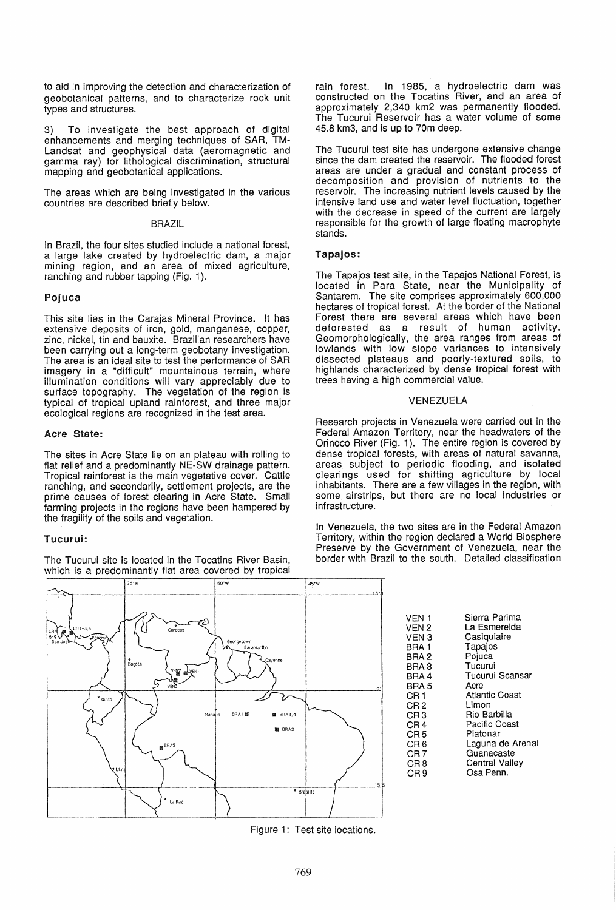to aid in improving the detection and characterization of geobotanical patterns, and to characterize rock unit types and structures.

3) To investigate the best approach of digital enhancements and merging techniques of SAR, TM-Landsat and geophysical data (aeromagnetic and gamma ray) for lithological discrimination, structural mapping and geobotanical applications.

The areas which are being investigated in the various countries are described briefly below.

#### BRAZIL

in Brazil, the four sites studied include a national forest, a large lake created by hydroelectric dam, a major mining region, and an area of mixed agriculture, ranching and rubber tapping (Fig. 1).

### Pojuca

This site lies in the Carajas Mineral Province. It has extensive deposits of iron, gold, manganese, copper, zinc, nickel, tin and bauxite. Brazilian researchers have been carrying out a long-term geobotany investigation. The area is an ideal site to test the performance of SAR imagery in a "difficult" mountainous terrain, where illumination conditions will vary appreciably due to surface topography. The vegetation of the region is typical of tropical upland rainforest, and three major ecological regions are recognized in the test area.

### Acre State:

The sites in Acre State lie on an plateau with rolling to flat relief and a predominantly NE-SW drainage pattern. Tropical rainforest is the main vegetative cover. Cattle ranching, and secondarily, settlement projects, are the prime causes of forest clearing in Acre State. Small farming projects in the regions have been hampered by the fragility of the soils and vegetation.

## Tucurui:

The Tucurui site is located in the Tocatins River Basin, which is a predominantly flat area covered by tropical



rain forest. In 1985, a hydroelectric dam was constructed on the Tocatins River, and an area of approximately 2,340 km2 was permanently flooded. The Tucurui Reservoir has a water volume of some 45.8 km3, and is up to 70m deep.

The Tucurui test site has undergone extensive change since the dam created the reservoir. The flooded forest areas are under a gradual and constant process of decomposition and provision of nutrients to the reservoir. The increasing nutrient levels caused by the intensive land use and water level fluctuation, together with the decrease in speed of the current are largely responsible for the growth of large floating macrophyte stands.

## Tapajos:

The Tapajos test site, in the Tapajos National Forest, is located in Para State, near the Municipality of Santarem. The site comprises approximately 600,000 hectares of tropical forest. At the border of the National Forest there are several areas which have been deforested as a result of human activity. Geomorphologically, the area ranges from areas of lowlands with low slope variances to intensively dissected plateaus and poorly-textured soils, to highlands characterized by dense tropical forest with trees having a high commercial value.

### VENEZUELA

Research projects in Venezuela were carried out in the Federal Amazon Territory, near the headwaters of the Orinoco River (Fig. 1). The entire region is covered by dense tropical forests. with areas of natural savanna, areas subject to periodic flooding, and isolated clearings used for shifting agriculture by local inhabitants. There are a few villages in the region, with some airstrips, but there are no local industries or infrastructure.

In Venezuela, the two sites are in the Federal Amazon Territory, within the region declared a World Biosphere Preserve by the Government of Venezuela, near the border with Brazil to the south. Detailed classification

> VEN 1 VEN2 VEN 3 BRA 1 BRA2 BRA3 BRA4 BRA5 CR1 CR2 CR3 CR4 CR<sub>5</sub> C<sub>R6</sub> CR7 CR8 CR9 Sierra Parima La Esmerelda **Casiquiaire** Tapajos Pojuca Tucurui Tucurui Scansar Acre Atlantic Coast Limon Rio Barbilla Pacific Coast Platonar Laguna de Arenal Guanacaste Central Valley Osa Penn.

Figure 1: Test site locations.